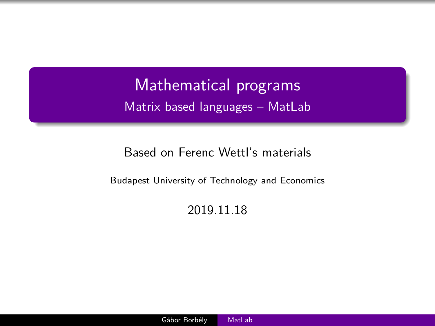<span id="page-0-0"></span>Mathematical programs Matrix based languages – MatLab

#### Based on Ferenc Wettl's materials

Budapest University of Technology and Economics

#### 2019.11.18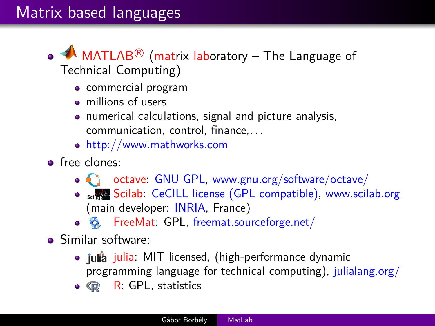# Matrix based languages

- $\mathsf{MATLAB}^{\circledR}$  (matrix laboratory The Language of Technical Computing)
	- commercial program
	- millions of users
	- numerical calculations, signal and picture analysis, communication, control, finance,. . .
	- <http://www.mathworks.com>
- **o** free clones:
	- octave: [GNU GPL,](https://www.gnu.org/software/octave/license.html) [www.gnu.org/software/octave/](http://www.gnu.org/software/octave/)
	- settle Scilab: [CeCILL license \(GPL compatible\),](http://www.scilab.org/scilab/license) [www.scilab.org](http://www.scilab.org) (main developer: [INRIA,](http://www.inria.fr/en/) France)
	- $\clubsuit$  FreeMat: GPL, [freemat.sourceforge.net/](http://freemat.sourceforge.net/)
- **•** Similar software:
	- · julia: MIT licensed, (high-performance dynamic programming language for technical computing), [julialang.org/](http://julialang.org/)
	- $\bullet$   $\mathbb{R}$ : GPL, statistics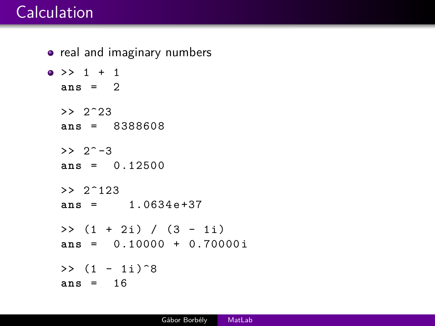# **Calculation**

```
o real and imaginary numbers
\bullet >> 1 + 1
  ans = 2
  >> 2^23
  ans = 8388608
  >> 2^{\sim} -3ans = 0.12500
  > 2^{\sim}123ans = 1.0634 e +37
  \gg (1 + 2i) / (3 - 1i)
  ans = 0.10000 + 0.70000 i
  \gg (1 - 1i)<sup>\degree8</sup>
  ans = 16
```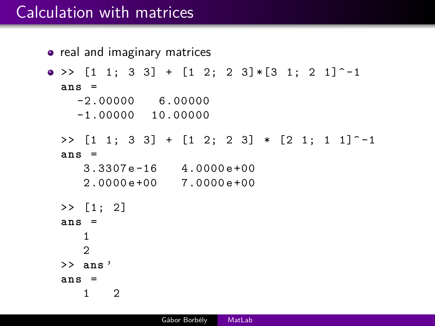## Calculation with matrices

```
• real and imaginary matrices
\bullet >> [1 1; 3 3] + [1 2; 2 3] * [3 1: 2 1] \hat{} -1
  ans =
    -2.00000 6.00000
    -1.00000 10.00000
  >> [1 \ 1; \ 3 \ 3] + [1 \ 2; \ 2 \ 3] + [2 \ 1; \ 1 \ 1] ^-1
  ans =
     3.3307 e -16 4.0000 e +00
     2.0000 e +00 7.0000 e +00
  >> [1; 2]
  ans =
     1
     2
  >> ans '
  ans =
     1 2
```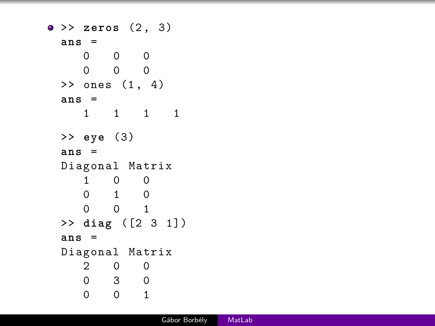```
>> zeros (2 , 3)
 ans =
    0 0 0
    0 0 0
 > ones (1, 4)ans =
    1 1 1 1
 >> eye (3)
 ans =
 Diagonal Matrix
    1 0 0
    0 1 0
    0 0 1
 >> diag ([2 3 1])
 ans =
 Diagonal Matrix
    2 0 0
    0 3 0
    0 0 1
```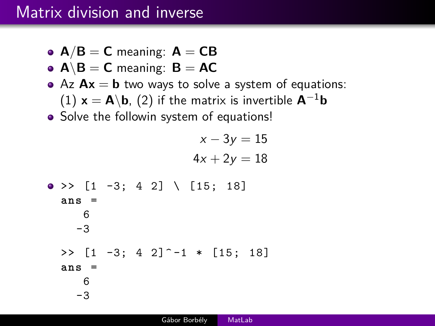## Matrix division and inverse

- $A/B = C$  meaning:  $A = CB$
- **•**  $A \ B = C$  meaning:  $B = AC$
- Az  $Ax = b$  two ways to solve a system of equations:  $(1)$  **x** = **A**\**b**, (2) if the matrix is invertible  $A^{-1}b$
- Solve the followin system of equations!

 $x - 3y = 15$  $4x + 2y = 18$  $\bullet$  >> [1 -3; 4 2] \ [15; 18] **ans** = 6 -3  $\Rightarrow$  [1 -3; 4 2]<sup> $\sim$ </sup>-1  $\ast$  [15; 18] **ans** =

> 6 -3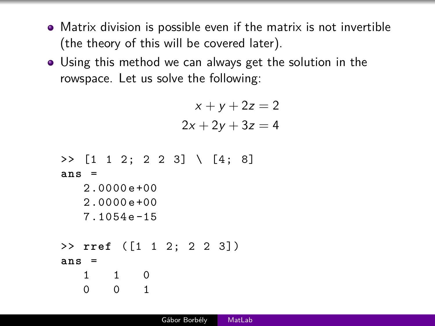- Matrix division is possible even if the matrix is not invertible (the theory of this will be covered later).
- Using this method we can always get the solution in the rowspace. Let us solve the following:

$$
x + y + 2z = 2
$$

$$
2x + 2y + 3z = 4
$$

```
\rightarrow [1 1 2; 2 2 3] \ [4; 8]
ans =
   2.0000 e +00
   2.0000 e +00
   7.1054 e -15
>> rref ([1 1 2; 2 2 3])
ans =
   1 1 0
   0 0 1
```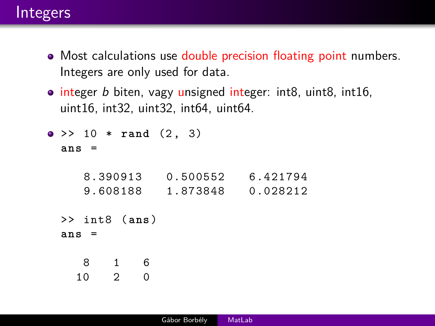#### Integers

- Most calculations use double precision floating point numbers. Integers are only used for data.
- $\bullet$  integer b biten, vagy unsigned integer: int8, uint8, int16, uint16, int32, uint32, int64, uint64.

```
\bullet >> 10 * rand (2, 3)
  ans =
```

| 8.390913 | 0.500552 | 6.421794 |
|----------|----------|----------|
| 9.608188 | 1.873848 | 0.028212 |

```
>> int8 (ans)
ans =
```

```
8 1 6
```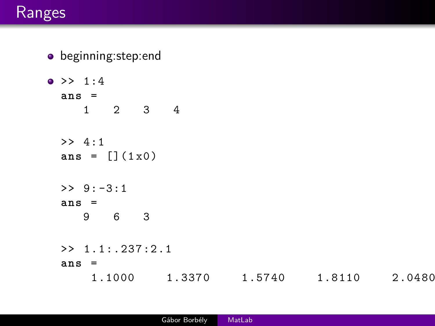#### Ranges

- beginning:step:end  $\bullet$  >> 1:4 **ans** = 1 2 3 4 >> 4:1  $ans = [] (1x0)$  $>> 9:-3:1$ **ans** = 9 6 3 >> 1.1:.237:2.1 **ans** =
	- 1.1000 1.3370 1.5740 1.8110 2.0480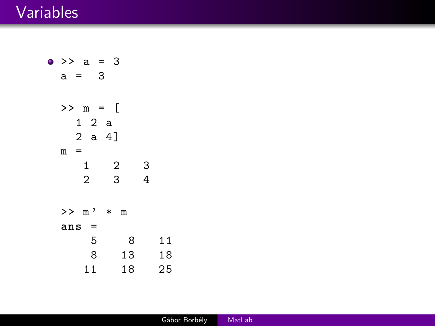#### Variables

 $\bullet$  >> a = 3  $a = 3$ >> m = [ 1 2 a 2 a 4]  $m =$  $\begin{array}{ccc} 1 & 2 & 3 \\ 2 & 3 & 4 \end{array}$  $\overline{4}$ >> m ' \* m **ans** = 5 8 11 8 13 18 11 18 25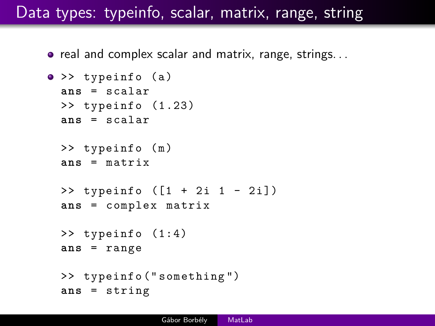## Data types: typeinfo, scalar, matrix, range, string

 $\bullet$  real and complex scalar and matrix, range, strings...

```
\bullet >> typeinfo (a)
 ans = scalar
 >> typeinfo (1.23)
 ans = scalar
 \gg typeinfo (m)ans = matrix
 \gg typeinfo ([1 + 2i 1 - 2i])
 ans = complex matrix
 >> typeinfo (1:4)
 ans = range
 >> typeinfo (" something ")
 ans = string
```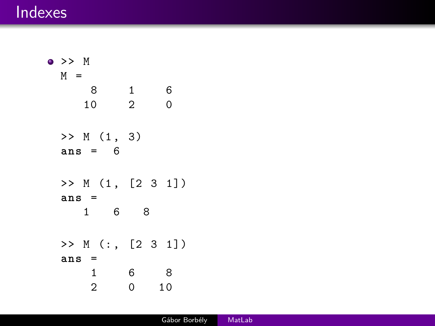#### Indexes

```
>> M
M =8 1 6
   10 2 0
 >> M (1, 3)ans = 6
 >> M (1, [2 3 1])ans =
   1 6 8
 >> M (: , [2 3 1])
 ans =
    1 6 8
    2 0 10
```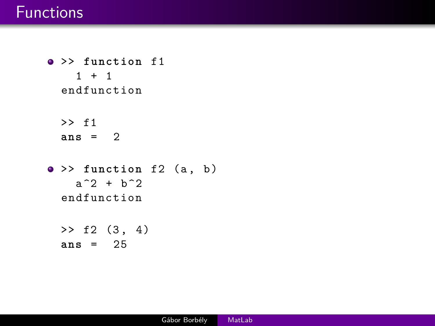#### **Functions**

>> **function** f1  $1 + 1$ endfunction >> f1 **ans** = 2  $\bullet$  >> function f2 (a, b)  $a^2 + b^2$ endfunction  $>> f2 (3, 4)$ **ans** = 25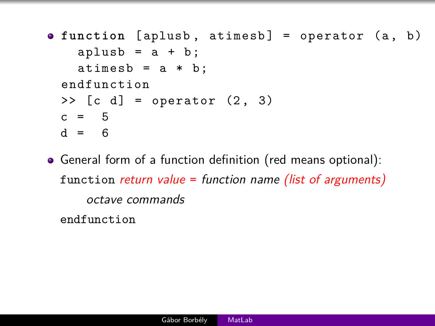- **o** function [aplusb, atimesb] = operator (a, b)  $aplush = a + b;$  $atimes b = a * b;$ endfunction  $\geq$  [c d] = operator  $(2, 3)$  $c = 5$  $d = 6$
- General form of a function definition (red means optional): function return value = function name (list of arguments) octave commands

endfunction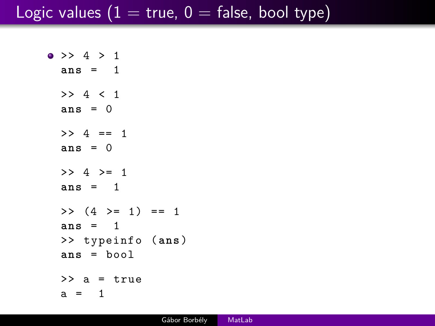## Logic values ( $1 =$  true,  $0 =$  false, bool type)

```
\bullet >> 4 > 1
 ans = 1
 >> 4 < 1ans = 0
 >> 4 == 1ans = 0
 >> 4 > = 1ans = 1
 >> (4 >= 1) == 1
 ans = 1
 >> typeinfo (ans)
 ans = bool
 \geq a = true
 a = 1
```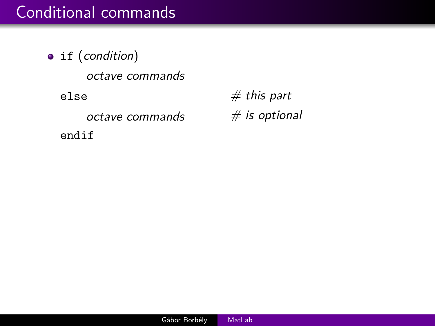## Conditional commands

• if (condition) octave commands else  $# this part$ octave commands  $#$  is optional endif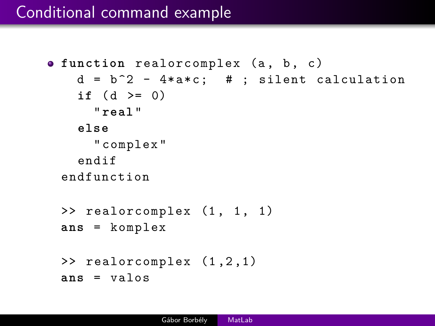```
• function realorcomplex (a, b, c)
   d = b^2 - 4* a * c; # ; silent calculation
   if (d \ge 0)" real "
   else
      " complex "
    endif
 endfunction
 \geq realorcomplex (1, 1, 1)ans = komplex
 >> realorcomplex (1 ,2 ,1)
 ans = valos
```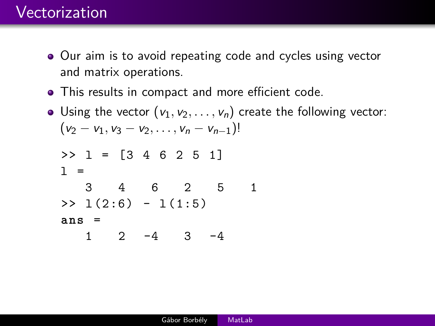## Vectorization

- Our aim is to avoid repeating code and cycles using vector and matrix operations.
- This results in compact and more efficient code.
- Using the vector  $(v_1, v_2, \ldots, v_n)$  create the following vector:  $(v_2 - v_1, v_3 - v_2, \ldots, v_n - v_{n-1})!$

$$
>> 1 = [3 4 6 2 5 1]
$$
  
\n
$$
1 =
$$
  
\n
$$
3 4 6 2 5 1
$$
  
\n
$$
>> 1(2:6) - 1(1:5)
$$
  
\nans =  
\n
$$
1 2 -4 3 -4
$$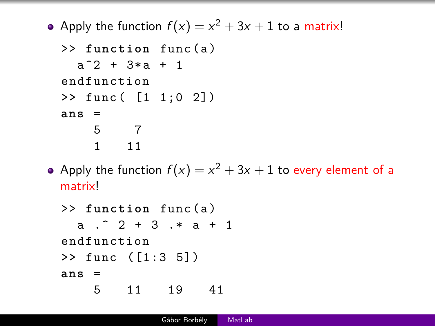Apply the function  $f(x) = x^2 + 3x + 1$  to a matrix!

```
>> function func ( a )
  a^2 + 3*a + 1endfunction
>> func ( [1 1;0 2])
ans =
    5 7
    1 11
```
Apply the function  $f(x)=x^2+3x+1$  to every element of a matrix!

```
>> function func ( a )
  a .^ 2 + 3 .* a + 1
endfunction
>> func ([1:3 5])
ans =
    5 11 19 41
```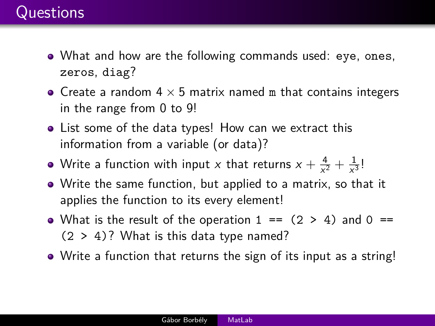- What and how are the following commands used: eye, ones, zeros, diag?
- Create a random  $4 \times 5$  matrix named m that contains integers in the range from 0 to 9!
- List some of the data types! How can we extract this information from a variable (or data)?
- Write a function with input x that returns  $x + \frac{4}{\sqrt{x}}$  $\frac{4}{x^2} + \frac{1}{x^3}$  $\frac{1}{x^3}$ !
- Write the same function, but applied to a matrix, so that it applies the function to its every element!
- What is the result of the operation  $1 == (2 > 4)$  and  $0 ==$  $(2 > 4)$ ? What is this data type named?
- Write a function that returns the sign of its input as a string!